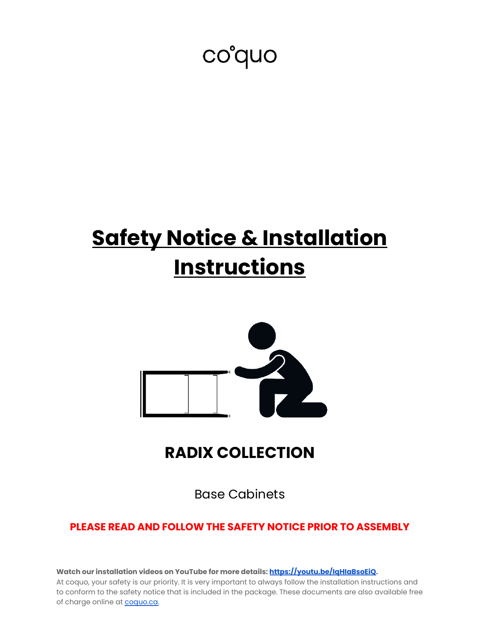# co'quo

# **Safety Notice & Installation Instructions**



# **RADIX COLLECTION**

Base Cabinets

# **PLEASE READ AND FOLLOW THE SAFETY NOTICE PRIOR TO ASSEMBLY**

**Watch our installation videos on YouTube for more details: [https://youtu.be/IqHIaBsoEiQ.](https://youtu.be/IqHIaBsoEiQ)**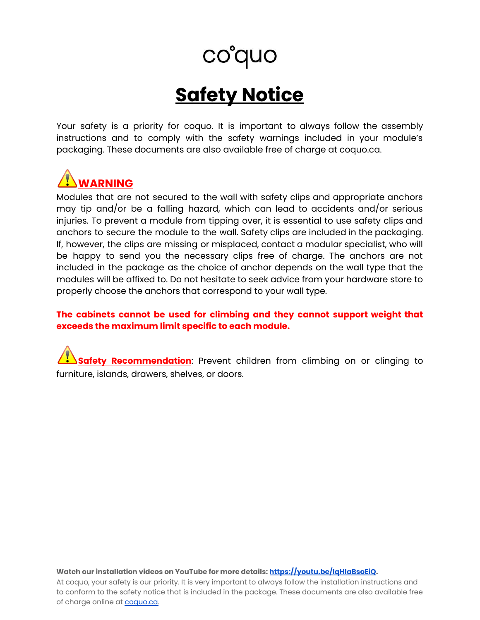# **Safety Notice**

Your safety is a priority for coquo. It is important to always follow the assembly instructions and to comply with the safety warnings included in your module's packaging. These documents are also available free of charge at coquo.ca.

# **WARNING**

Modules that are not secured to the wall with safety clips and appropriate anchors may tip and/or be a falling hazard, which can lead to accidents and/or serious injuries. To prevent a module from tipping over, it is essential to use safety clips and anchors to secure the module to the wall. Safety clips are included in the packaging. If, however, the clips are missing or misplaced, contact a modular specialist, who will be happy to send you the necessary clips free of charge. The anchors are not included in the package as the choice of anchor depends on the wall type that the modules will be affixed to. Do not hesitate to seek advice from your hardware store to properly choose the anchors that correspond to your wall type.

### **The cabinets cannot be used for climbing and they cannot support weight that exceeds the maximum limit specific to each module.**

**Safety Recommendation**: Prevent children from climbing on or clinging to furniture, islands, drawers, shelves, or doors.

**Watch our installation videos on YouTube for more details: [https://youtu.be/IqHIaBsoEiQ.](https://youtu.be/IqHIaBsoEiQ)**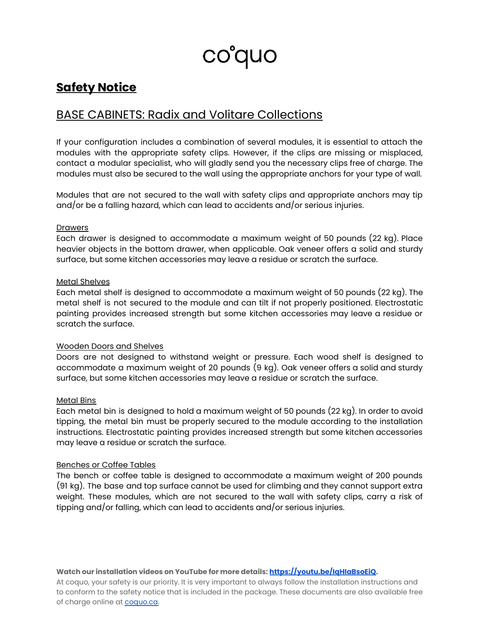co°quo

# **Safety Notice**

# BASE CABINETS: Radix and Volitare Collections

If your configuration includes a combination of several modules, it is essential to attach the modules with the appropriate safety clips. However, if the clips are missing or misplaced, contact a modular specialist, who will gladly send you the necessary clips free of charge. The modules must also be secured to the wall using the appropriate anchors for your type of wall.

Modules that are not secured to the wall with safety clips and appropriate anchors may tip and/or be a falling hazard, which can lead to accidents and/or serious injuries.

#### **Drawers**

Each drawer is designed to accommodate a maximum weight of 50 pounds (22 kg). Place heavier objects in the bottom drawer, when applicable. Oak veneer offers a solid and sturdy surface, but some kitchen accessories may leave a residue or scratch the surface.

#### Metal Shelves

Each metal shelf is designed to accommodate a maximum weight of 50 pounds (22 kg). The metal shelf is not secured to the module and can tilt if not properly positioned. Electrostatic painting provides increased strength but some kitchen accessories may leave a residue or scratch the surface.

#### Wooden Doors and Shelves

Doors are not designed to withstand weight or pressure. Each wood shelf is designed to accommodate a maximum weight of 20 pounds (9 kg). Oak veneer offers a solid and sturdy surface, but some kitchen accessories may leave a residue or scratch the surface.

#### Metal Bins

Each metal bin is designed to hold a maximum weight of 50 pounds (22 kg). In order to avoid tipping, the metal bin must be properly secured to the module according to the installation instructions. Electrostatic painting provides increased strength but some kitchen accessories may leave a residue or scratch the surface.

#### Benches or Coffee Tables

The bench or coffee table is designed to accommodate a maximum weight of 200 pounds (91 kg). The base and top surface cannot be used for climbing and they cannot support extra weight. These modules, which are not secured to the wall with safety clips, carry a risk of tipping and/or falling, which can lead to accidents and/or serious injuries.

#### **Watch our installation videos on YouTube for more details: [https://youtu.be/IqHIaBsoEiQ.](https://youtu.be/IqHIaBsoEiQ)**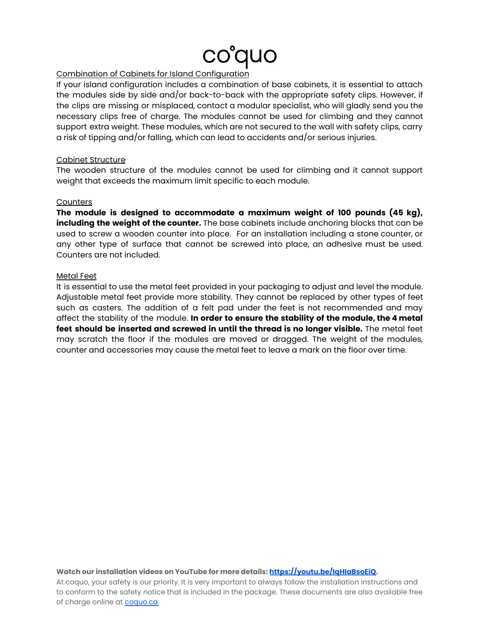#### Combination of Cabinets for Island Configuration

If your island configuration includes a combination of base cabinets, it is essential to attach the modules side by side and/or back-to-back with the appropriate safety clips. However, if the clips are missing or misplaced, contact a modular specialist, who will gladly send you the necessary clips free of charge. The modules cannot be used for climbing and they cannot support extra weight. These modules, which are not secured to the wall with safety clips, carry a risk of tipping and/or falling, which can lead to accidents and/or serious injuries.

#### Cabinet Structure

The wooden structure of the modules cannot be used for climbing and it cannot support weight that exceeds the maximum limit specific to each module.

#### **Counters**

**The module is designed to accommodate a maximum weight of 100 pounds (45 kg), including the weight of the counter.** The base cabinets include anchoring blocks that can be used to screw a wooden counter into place. For an installation including a stone counter, or any other type of surface that cannot be screwed into place, an adhesive must be used. Counters are not included.

#### Metal Feet

It is essential to use the metal feet provided in your packaging to adjust and level the module. Adjustable metal feet provide more stability. They cannot be replaced by other types of feet such as casters. The addition of a felt pad under the feet is not recommended and may affect the stability of the module. **In order to ensure the stability of the module, the 4 metal feet should be inserted and screwed in until the thread is no longer visible.** The metal feet may scratch the floor if the modules are moved or dragged. The weight of the modules, counter and accessories may cause the metal feet to leave a mark on the floor over time.

#### **Watch our installation videos on YouTube for more details: [https://youtu.be/IqHIaBsoEiQ.](https://youtu.be/IqHIaBsoEiQ)**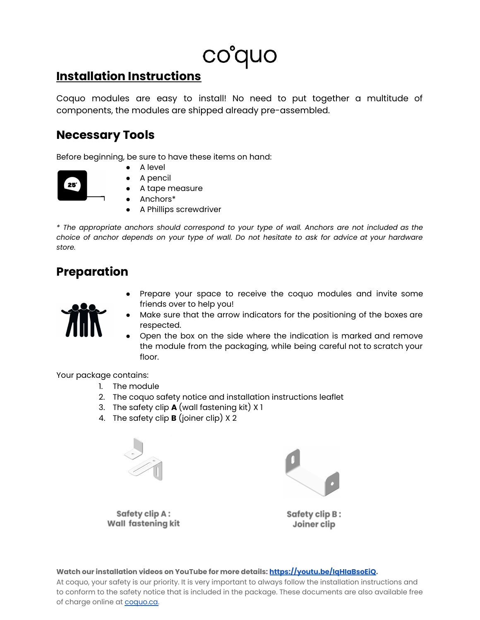# **Installation Instructions**

Coquo modules are easy to install! No need to put together a multitude of components, the modules are shipped already pre-assembled.

# **Necessary Tools**

Before beginning, be sure to have these items on hand:

A level



- A pencil
- A tape measure
- Anchors\*
	- A Phillips screwdriver

*\* The appropriate anchors should correspond to your type of wall. Anchors are not included as the* choice of anchor depends on your type of wall. Do not hesitate to ask for advice at your hardware *store.*

# **Preparation**



- Prepare your space to receive the coquo modules and invite some friends over to help you!
- Make sure that the arrow indicators for the positioning of the boxes are respected.
- Open the box on the side where the indication is marked and remove the module from the packaging, while being careful not to scratch your floor.

Your package contains:

- 1. The module
- 2. The coquo safety notice and installation instructions leaflet
- 3. The safety clip **A** (wall fastening kit) X 1
- 4. The safety clip **B** (joiner clip) X 2



Safety clip A: Wall fastening kit



Safety clip B: Joiner clip

**Watch our installation videos on YouTube for more details: [https://youtu.be/IqHIaBsoEiQ.](https://youtu.be/IqHIaBsoEiQ)**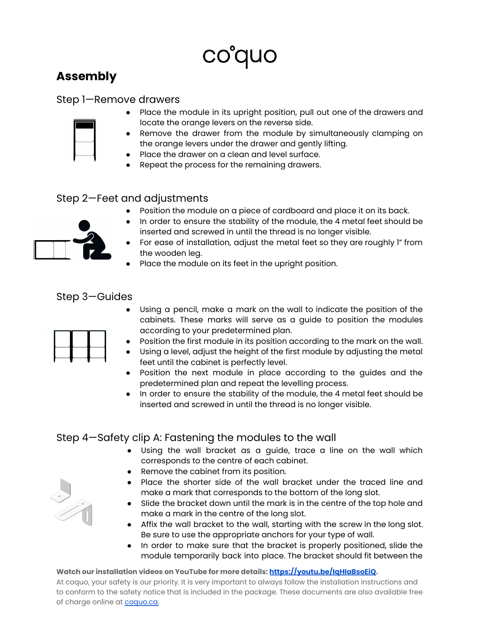# **Assembly**

### Step 1—Remove drawers

- Place the module in its upright position, pull out one of the drawers and locate the orange levers on the reverse side.
	- Remove the drawer from the module by simultaneously clamping on the orange levers under the drawer and gently lifting.
	- Place the drawer on a clean and level surface.
	- Repeat the process for the remaining drawers.

### Step 2—Feet and adjustments

● Position the module on a piece of cardboard and place it on its back.



- For ease of installation, adjust the metal feet so they are roughly 1" from the wooden leg.
- Place the module on its feet in the upright position.

### Step 3—Guides



- Using a pencil, make a mark on the wall to indicate the position of the cabinets. These marks will serve as a guide to position the modules according to your predetermined plan.
	- Position the first module in its position according to the mark on the wall.
- Using a level, adjust the height of the first module by adjusting the metal feet until the cabinet is perfectly level.
- Position the next module in place according to the guides and the predetermined plan and repeat the levelling process.
- In order to ensure the stability of the module, the 4 metal feet should be inserted and screwed in until the thread is no longer visible.

# Step 4—Safety clip A: Fastening the modules to the wall

- Using the wall bracket as a guide, trace a line on the wall which corresponds to the centre of each cabinet.
- Remove the cabinet from its position.
- Place the shorter side of the wall bracket under the traced line and make a mark that corresponds to the bottom of the long slot.
- Slide the bracket down until the mark is in the centre of the top hole and make a mark in the centre of the long slot.
- Affix the wall bracket to the wall, starting with the screw in the long slot. Be sure to use the appropriate anchors for your type of wall.
- In order to make sure that the bracket is properly positioned, slide the module temporarily back into place. The bracket should fit between the

#### **Watch our installation videos on YouTube for more details: [https://youtu.be/IqHIaBsoEiQ.](https://youtu.be/IqHIaBsoEiQ)**